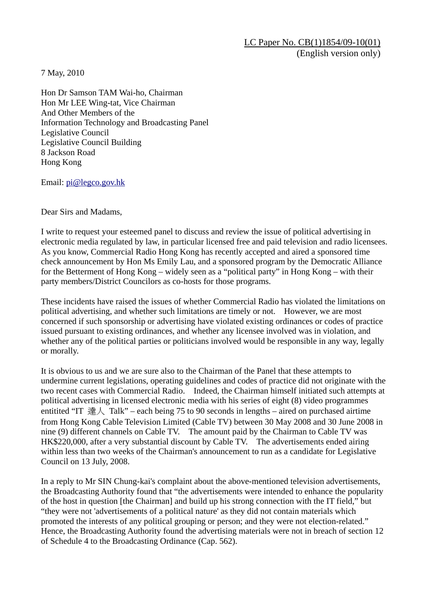LC Paper No. CB(1)1854/09-10(01) (English version only)

7 May, 2010

Hon Dr Samson TAM Wai-ho, Chairman Hon Mr LEE Wing-tat, Vice Chairman And Other Members of the Information Technology and Broadcasting Panel Legislative Council Legislative Council Building 8 Jackson Road Hong Kong

Email: pi@legco.gov.hk

Dear Sirs and Madams,

I write to request your esteemed panel to discuss and review the issue of political advertising in electronic media regulated by law, in particular licensed free and paid television and radio licensees. As you know, Commercial Radio Hong Kong has recently accepted and aired a sponsored time check announcement by Hon Ms Emily Lau, and a sponsored program by the Democratic Alliance for the Betterment of Hong Kong – widely seen as a "political party" in Hong Kong – with their party members/District Councilors as co-hosts for those programs.

These incidents have raised the issues of whether Commercial Radio has violated the limitations on political advertising, and whether such limitations are timely or not. However, we are most concerned if such sponsorship or advertising have violated existing ordinances or codes of practice issued pursuant to existing ordinances, and whether any licensee involved was in violation, and whether any of the political parties or politicians involved would be responsible in any way, legally or morally.

It is obvious to us and we are sure also to the Chairman of the Panel that these attempts to undermine current legislations, operating guidelines and codes of practice did not originate with the two recent cases with Commercial Radio. Indeed, the Chairman himself initiated such attempts at political advertising in licensed electronic media with his series of eight (8) video programmes entitited "IT 達人 Talk" – each being 75 to 90 seconds in lengths – aired on purchased airtime from Hong Kong Cable Television Limited (Cable TV) between 30 May 2008 and 30 June 2008 in nine (9) different channels on Cable TV. The amount paid by the Chairman to Cable TV was HK\$220,000, after a very substantial discount by Cable TV. The advertisements ended airing within less than two weeks of the Chairman's announcement to run as a candidate for Legislative Council on 13 July, 2008.

In a reply to Mr SIN Chung-kai's complaint about the above-mentioned television advertisements, the Broadcasting Authority found that "the advertisements were intended to enhance the popularity of the host in question [the Chairman] and build up his strong connection with the IT field," but "they were not 'advertisements of a political nature' as they did not contain materials which promoted the interests of any political grouping or person; and they were not election-related." Hence, the Broadcasting Authority found the advertising materials were not in breach of section 12 of Schedule 4 to the Broadcasting Ordinance (Cap. 562).